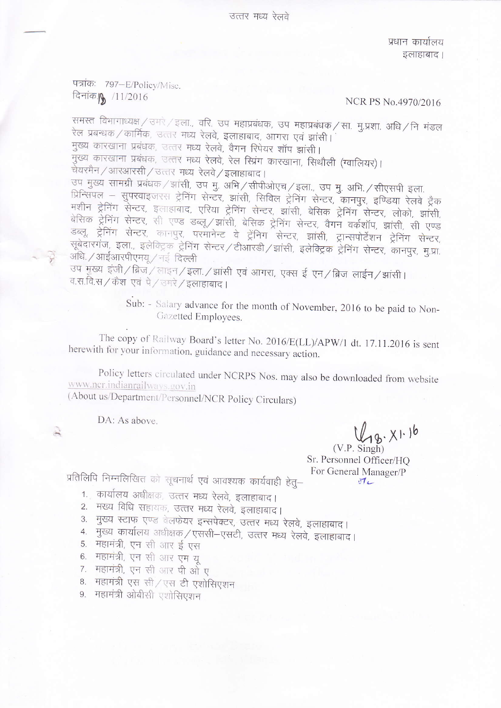उत्तर मध्य रेलवे

प्रधान कार्यालय इलाहाबाद।

पत्रांकः 797-E/Policy/Misc. दिनांक **| 1**1/2016

# NCR PS No.4970/2016

समस्त विभागाध्यक्ष / उमरे / इला., वरि. उप महाप्रबंधक, उप महाप्रबंधक / सा. मु.प्रशा. अधि / नि मंडल रेल प्रबन्धक / कार्मिक, उत्तर मध्य रेलवे, इलाहाबाद, आगरा एवं झांसी। मुख्य कारखाना प्रबंधक, उत्तर मध्य रेलवे, वैगन रिपेयर शॉप झांसी। -<br>मुख्य कारखाना प्रबंधक, उत्तर मध्य रेलवे, रेल स्प्रिंग कारखाना, सिथौली (ग्वालियर)। चेयरमैन / आरआरसी / उत्तर मध्य रेलवे / इलाहाबाद। उप मुख्य सामग्री प्रबंधक / झांसी, उप मु. अभि / सीपीओएच / इला., उप मु. अभि. / सीएसपी इला. प्रिन्सिपल – सुपरवाइजरस ट्रेनिंग सेन्टर, झांसी, सिविल ट्रेनिंग सेन्टर, कानपुर, इण्डिया रेलवे ट्रैक मशीन ट्रेनिंग सेन्टर, इलाहाबाद, एरिया ट्रेनिंग सेन्टर, झांसी, बेसिक ट्रेनिंग सेन्टर, लोको, झांसी, बेसिक ट्रेनिंग सेन्टर, सी एण्ड डब्लू/झांसी, बेसिक ट्रेनिंग सेन्टर, वैगन वर्कशॉप, झांसी, सी एण्ड डब्लू ट्रेनिंग सेन्टर, कानपुर, परमानेन्ट वे ट्रेनिग सेन्टर, झांसी, ट्रान्सपोर्टेशन ट्रेनिंग सेन्टर, सूबेदारगंज, इला., इलेक्ट्रिक ट्रेनिंग सेन्टर / टीआरडी / झांसी, इलेक्ट्रिक ट्रेनिंग सेन्टर, कानपुर, मु.प्रा. अधि. / आईआरपीएमय् / नई दिल्ली

उप मुख्य इंजी/ब्रिज/लाइन/इला./झांसी एवं आगरा, एक्स ई एन/ब्रिज लाईन/झांसी। व.स.वि.स / कैश एवं पे / उमरे / इलाहाबाद ।

> Sub: - Salary advance for the month of November, 2016 to be paid to Non-Gazetted Employees.

The copy of Railway Board's letter No. 2016/E(LL)/APW/1 dt. 17.11.2016 is sent herewith for your information, guidance and necessary action.

Policy letters circulated under NCRPS Nos. may also be downloaded from website www.ncr.indianrailways.gov.in

(About us/Department/Personnel/NCR Policy Circulars)

DA: As above

 $48. x1.16$ 

 $(V.P. Simeh)$ Sr. Personnel Officer/HO For General Manager/P  $\sqrt{1}$ 

प्रतिलिपि निम्नलिखित को सूचनार्थ एवं आवश्यक कार्यवाही हेतू-

- 1. कार्यालय अधीक्षक, उत्तर मध्य रेलवे, इलाहाबाद।
- 2. मख्य विधि सहायक, उत्तर मध्य रेलवे, इलाहाबाद।
- 3. मुख्य स्टाफ एण्ड वेलफेयर इन्सपेक्टर, उत्तर मध्य रेलवे, इलाहाबाद।
- 4. मुख्य कार्यालय अधीक्षक / एससी-एसटी, उत्तर मध्य रेलवे, इलाहाबाद।
- 5. महामंत्री, एन सी आर ई एस
- 6. महामंत्री, एन सी आर एम यू
- 7. महामंत्री, एन सी आर पी ओ ए
- 8. महामंत्री एस सी/एस टी एशोसिएशन
- 9. महामंत्री ओबीसी एशोसिएशन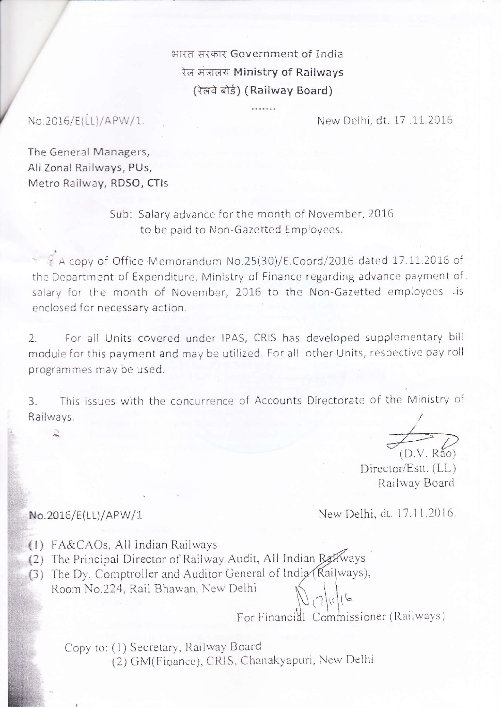भारत सरकार Government of India रेल मंत्रालय Ministry of Railways (रेलवे बोर्ड) (Railway Board)

No.2016/E(LL)/APW/1.

New Delhi, dt. 17.11.2016

The General Managers, All Zonal Railways, PUs, Metro Railway, RDSO, CTIs

> Sub: Salary advance for the month of November, 2016 to be paid to Non-Gazetted Employees.

A copy of Office Memorandum No.25(30)/E.Coord/2016 dated 17.11.2016 of the Department of Expenditure, Ministry of Finance regarding advance payment of. salary for the month of November, 2016 to the Non-Gazetted employees list enclosed for necessary action.

For all Units covered under IPAS, CRIS has developed supplementary bill  $\overline{2}$ . module for this payment and may be utilized. For all other Units, respective pay roll programmes may be used.

This issues with the concurrence of Accounts Directorate of the Ministry of  $\overline{3}$ . Railways.

 $(D.V. R<sub>40</sub>)$ 

Director/Estt. (LL) Railway Board

New Delhi, dt. 17.11.2016.

(1) FA&CAOs, All Indian Railways

No.2016/E(LL)/APW/1

- (2) The Principal Director of Railway Audit, All Indian Railways
- (3) The Dy. Comptroller and Auditor General of India (Railways),
- Room No.224, Rail Bhawan, New Delhi

For Financial Commissioner (Railways)

Copy to: (1) Secretary, Railway Board (2) GM(Finance), CRIS, Chanakyapuri, New Delhi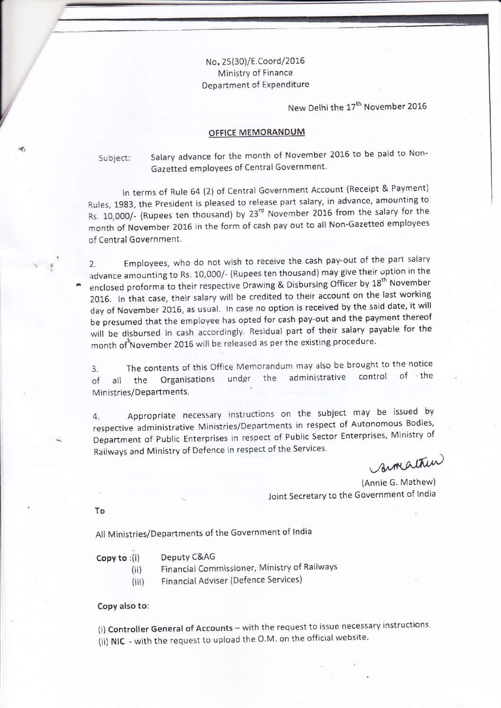# No. 2s{30)/E,Coord/2015 Ministry of Finance Department of Expenditure

New Delhi the 17<sup>th</sup> November 2016

### OFFICE MEMORANDUM

Subject: Salary advance for the month of November 2016 to be paid to Non-Gazetted employees of Central Government.

In terms of Rule 64 (2) of Central Government Account (Receipt & Payment) Rules, 1983, the President is pleased to release part salary, in advance, amounting to Rs. 10,000/- (Rupees ten thousand) by 23'd November 2016 from the salary for the month of November 2016 in the form of cash pay out to all Non-Gazetted employees of Central Government.

2. Employees, who do not wish to receive the cash pay-out of the part salary advance amounting to Rs. 10,000/- (Rupees ten thousand) may give their option in the enclosed proforma to their respective Drawing & Disbursing Officer by 18<sup>th</sup> November 2016. In that case, their salary will be credited to their account on the last working day of November 2016, as usual. In case no option is received by the said date, it will be presumed that the employee has opted for cash pay-out and the payment thereof will be disbursed in cash accordingly. Residual part of their salary payable for the month of<sup>8</sup>November 2016 will be released as per the existing procedure.

3. The contents of this Office Memorandum may also be brought to the notice of all the Organisations under the administrative control of the Ministries/Departments.

4. Appropriate necessary instructions on the subject may be issued by respective administrative Ministries/Departments in respect of Autonomous Bodies, Department of Public Enterprises in respect of Public Sector Enterprises, Ministry of Railways and Ministry of Defence in respect of the Services.

armathin

(Annie G. Mathew) Joint Secretary to the Government of India

To

All Ministries/Departments of the Government of India

#### Copy to : (i) Deputy C&AG

- (ii) Financial Commissioner, Ministry of Railways
- (iii) Financial Adviser (Defence Services)

### Copy also to:

(i) Controller General of Accounts - with the request to issue necessary instructions. (ii) NIC - with the request to upload the O.M. on the official website.